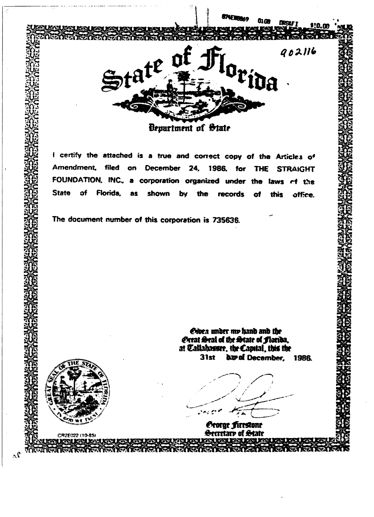

Crioca under me hand and the *<u>Extrat Erral of the Strate of Florida,</u>***<br>at Callahasser, the Capital, this the 31st &n»of December, 198&**

*<u>Crorge firestone</u>* **Secretary of State** 

CR2E022 (10-85)

 $\mathcal{N}$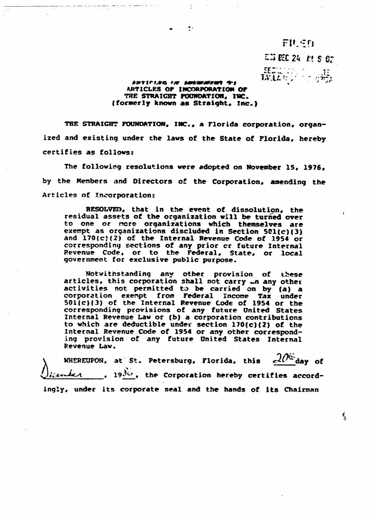## FILED

£3 KC 2k n s or

 $\frac{\text{SECE}}{\text{MLLE}}\left\{\frac{1}{2}, \frac{1}{2}, \frac{1}{2}, \frac{1}{2}\right\}$ 

र्यु

## *ORTICIAN OF DESERVATION OF*<br>ARTICLES OF INCORPORATION OF **THE STRAIGHT FOONOATIOH, IMC. (formerly known as Straight, Inc.}**

 $\bullet$   $\rightarrow$   $\mathbb{Z}^2$ 

al con un compositor de la construcción de la producción de la construcción de la construcción de la construcció

**THE STRAIGHT FOUNDATION, INC., a Florida corporation, organized and existing under the laws of the State of Florida, hereby certifies as follows:**

**The following resolutions were adopted on November 15, 1976, by the Members and Directors of the Corporation, amending the Articles of Incorporation:**

**RESOLVED, that in the event of dissolution, the residual assets of the organization will be turned over to one or recre organizations which themselves are exempt as organizations discluded in Section 501(c}{3) and 170{cJ(2) of the Internal Revenue Code of 1954 or corresponding sections of any prior cr future Internal Revenue Code, or to the Federal, State, or local government for exclusive public purpose.**

**Notwithstanding any other provision of these articles, this corporation shall not carry ».n any other activities not permitted to be carried on by {a} a corporation exempt froos Federal Income Tax under** 501(c)(3) of the Internal Revenue Code of 1954 or the **corresponding provisions of any future United States Internal Revenue Law or (b) a corporation contributions to which are deductible under section 170{c){2) of the Internal Revenue Code of 1954 or any other corresponding provision of any future United States Internal Revenue Law.**

**WHEREUPON, at St. Petersburg, Florida, this**  $c^{2\theta}$  **day of** iterature 19<sup>36</sup>, the Corporation hereby certifies accord**ingly, under its corporate seal and the hands of its Chairman**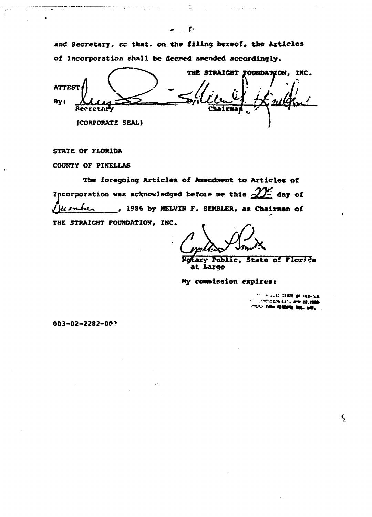and Secretary, so that. on the filing hereof, the Articles of Incorporation shall be deemed amended accordingly.

 $\sim 10^{11}$ 

نور دوستان<br>الرابط المحمد

Tarihi

 $\sim 10^{-1}$  $\sim$ 

THE STRAIGHT FOUNDATION, INC. **ATTEST** By: 20 D. Chain **Secretary** (CORPORATE SEAL)

STATE OF FLORIDA

ر الفي روز<br>د الفي

 $\epsilon \rightarrow$ 

COUNTY OF PINELLAS

The foregoing Articles of Amendment to Articles of Incorporation was acknowledged before me this  $\mathscr{D}^{\mathcal{L}}$  day of listica 1986 by MELVIN F. SEMBLER, as Chairman of THE STRAIGHT FOUNDATION, INC.

Ngtary Public, State of Florida at Large

My commission expires:

**IN CLEC CERTE OF FERIOLA INSTRUCTS EXT. AND 22,1980** FLP THEM CEREARED SINC. NOT.

 $\mathbf{1}_{\mathbf{2}}$ 

 $003 - 02 - 2282 - 00?$ 

 $\overline{\mathcal{L}}_{\mathcal{K}}$